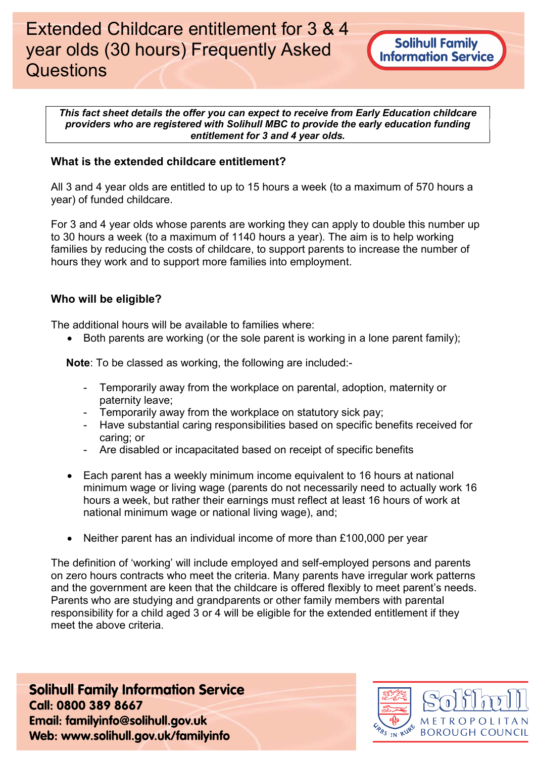This fact sheet details the offer you can expect to receive from Early Education childcare providers who are registered with Solihull MBC to provide the early education funding entitlement for 3 and 4 year olds.

## What is the extended childcare entitlement?

All 3 and 4 year olds are entitled to up to 15 hours a week (to a maximum of 570 hours a year) of funded childcare.

For 3 and 4 year olds whose parents are working they can apply to double this number up to 30 hours a week (to a maximum of 1140 hours a year). The aim is to help working families by reducing the costs of childcare, to support parents to increase the number of hours they work and to support more families into employment.

### Who will be eligible?

The additional hours will be available to families where:

 $\bullet$  Both parents are working (or the sole parent is working in a lone parent family);

Note: To be classed as working, the following are included:-

- Temporarily away from the workplace on parental, adoption, maternity or paternity leave;
- Temporarily away from the workplace on statutory sick pay;
- Have substantial caring responsibilities based on specific benefits received for caring; or
- Are disabled or incapacitated based on receipt of specific benefits
- Each parent has a weekly minimum income equivalent to 16 hours at national minimum wage or living wage (parents do not necessarily need to actually work 16 hours a week, but rather their earnings must reflect at least 16 hours of work at national minimum wage or national living wage), and;
- Neither parent has an individual income of more than £100,000 per year

The definition of 'working' will include employed and self-employed persons and parents on zero hours contracts who meet the criteria. Many parents have irregular work patterns and the government are keen that the childcare is offered flexibly to meet parent's needs. Parents who are studying and grandparents or other family members with parental responsibility for a child aged 3 or 4 will be eligible for the extended entitlement if they meet the above criteria.

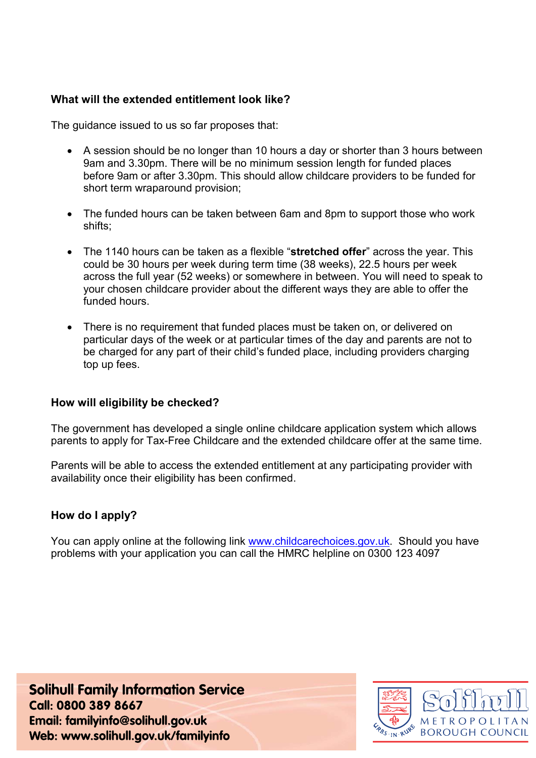# What will the extended entitlement look like?

The guidance issued to us so far proposes that:

- A session should be no longer than 10 hours a day or shorter than 3 hours between 9am and 3.30pm. There will be no minimum session length for funded places before 9am or after 3.30pm. This should allow childcare providers to be funded for short term wraparound provision;
- The funded hours can be taken between 6am and 8pm to support those who work shifts;
- The 1140 hours can be taken as a flexible "stretched offer" across the year. This could be 30 hours per week during term time (38 weeks), 22.5 hours per week across the full year (52 weeks) or somewhere in between. You will need to speak to your chosen childcare provider about the different ways they are able to offer the funded hours.
- There is no requirement that funded places must be taken on, or delivered on particular days of the week or at particular times of the day and parents are not to be charged for any part of their child's funded place, including providers charging top up fees.

### How will eligibility be checked?

The government has developed a single online childcare application system which allows parents to apply for Tax-Free Childcare and the extended childcare offer at the same time.

Parents will be able to access the extended entitlement at any participating provider with availability once their eligibility has been confirmed.

# How do I apply?

You can apply online at the following link www.childcarechoices.gov.uk. Should you have problems with your application you can call the HMRC helpline on 0300 123 4097

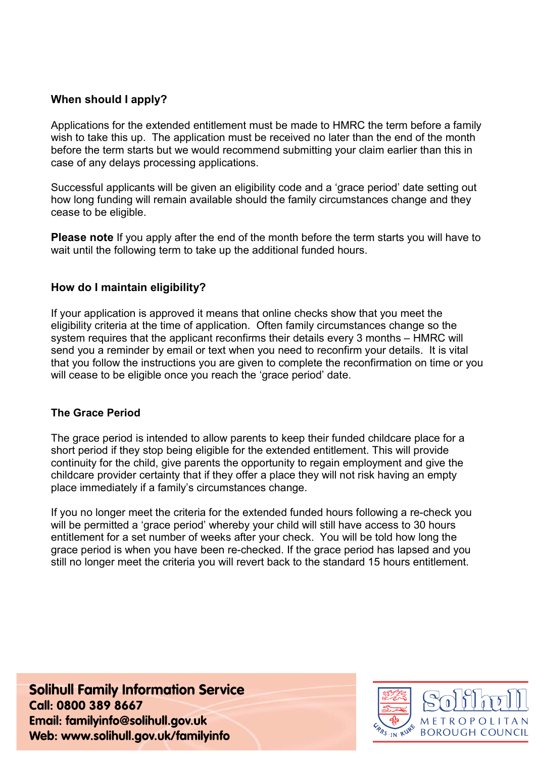## When should I apply?

Applications for the extended entitlement must be made to HMRC the term before a family wish to take this up. The application must be received no later than the end of the month before the term starts but we would recommend submitting your claim earlier than this in case of any delays processing applications.

Successful applicants will be given an eligibility code and a 'grace period' date setting out how long funding will remain available should the family circumstances change and they cease to be eligible.

**Please note** If you apply after the end of the month before the term starts you will have to wait until the following term to take up the additional funded hours.

### How do I maintain eligibility?

If your application is approved it means that online checks show that you meet the eligibility criteria at the time of application. Often family circumstances change so the system requires that the applicant reconfirms their details every 3 months – HMRC will send you a reminder by email or text when you need to reconfirm your details. It is vital that you follow the instructions you are given to complete the reconfirmation on time or you will cease to be eligible once you reach the 'grace period' date.

#### The Grace Period

The grace period is intended to allow parents to keep their funded childcare place for a short period if they stop being eligible for the extended entitlement. This will provide continuity for the child, give parents the opportunity to regain employment and give the childcare provider certainty that if they offer a place they will not risk having an empty place immediately if a family's circumstances change.

If you no longer meet the criteria for the extended funded hours following a re-check you will be permitted a 'grace period' whereby your child will still have access to 30 hours entitlement for a set number of weeks after your check. You will be told how long the grace period is when you have been re-checked. If the grace period has lapsed and you still no longer meet the criteria you will revert back to the standard 15 hours entitlement.